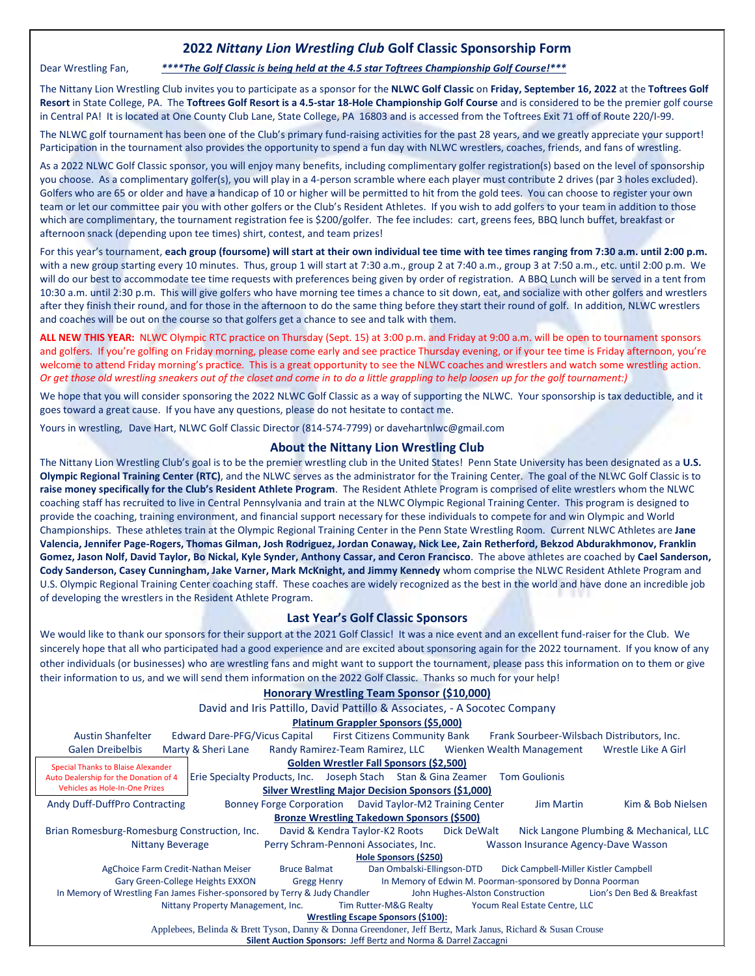## **2022** *Nittany Lion Wrestling Club* **Golf Classic Sponsorship Form**

### Dear Wrestling Fan, *\*\*\*\*The Golf Classic is being held at the 4.5 star Toftrees Championship Golf Course!\*\*\**

The Nittany Lion Wrestling Club invites you to participate as a sponsor for the **NLWC Golf Classic** on **Friday, September 16, 2022** at the **Toftrees Golf Resort** in State College, PA. The **Toftrees Golf Resort is a 4.5-star 18-Hole Championship Golf Course** and is considered to be the premier golf course in Central PA! It is located at One County Club Lane, State College, PA 16803 and is accessed from the Toftrees Exit 71 off of Route 220/I-99.

The NLWC golf tournament has been one of the Club's primary fund-raising activities for the past 28 years, and we greatly appreciate your support! Participation in the tournament also provides the opportunity to spend a fun day with NLWC wrestlers, coaches, friends, and fans of wrestling.

As a 2022 NLWC Golf Classic sponsor, you will enjoy many benefits, including complimentary golfer registration(s) based on the level of sponsorship you choose. As a complimentary golfer(s), you will play in a 4-person scramble where each player must contribute 2 drives (par 3 holes excluded). Golfers who are 65 or older and have a handicap of 10 or higher will be permitted to hit from the gold tees. You can choose to register your own team or let our committee pair you with other golfers or the Club's Resident Athletes. If you wish to add golfers to your team in addition to those which are complimentary, the tournament registration fee is \$200/golfer. The fee includes: cart, greens fees, BBQ lunch buffet, breakfast or afternoon snack (depending upon tee times) shirt, contest, and team prizes!

For this year's tournament, **each group (foursome) will start at their own individual tee time with tee times ranging from 7:30 a.m. until 2:00 p.m.** with a new group starting every 10 minutes. Thus, group 1 will start at 7:30 a.m., group 2 at 7:40 a.m., group 3 at 7:50 a.m., etc. until 2:00 p.m. We will do our best to accommodate tee time requests with preferences being given by order of registration. A BBQ Lunch will be served in a tent from 10:30 a.m. until 2:30 p.m. This will give golfers who have morning tee times a chance to sit down, eat, and socialize with other golfers and wrestlers after they finish their round, and for those in the afternoon to do the same thing before they start their round of golf. In addition, NLWC wrestlers and coaches will be out on the course so that golfers get a chance to see and talk with them.

**ALL NEW THIS YEAR:** NLWC Olympic RTC practice on Thursday (Sept. 15) at 3:00 p.m. and Friday at 9:00 a.m. will be open to tournament sponsors and golfers. If you're golfing on Friday morning, please come early and see practice Thursday evening, or if your tee time is Friday afternoon, you're welcome to attend Friday morning's practice. This is a great opportunity to see the NLWC coaches and wrestlers and watch some wrestling action*. Or get those old wrestling sneakers out of the closet and come in to do a little grappling to help loosen up for the golf tournament:)*

We hope that you will consider sponsoring the 2022 NLWC Golf Classic as a way of supporting the NLWC. Your sponsorship is tax deductible, and it goes toward a great cause. If you have any questions, please do not hesitate to contact me.

Yours in wrestling, Dave Hart, NLWC Golf Classic Director (814-574-7799) or davehartnlwc@gmail.com

#### **About the Nittany Lion Wrestling Club**

The Nittany Lion Wrestling Club's goal is to be the premier wrestling club in the United States! Penn State University has been designated as a **U.S. Olympic Regional Training Center (RTC)**, and the NLWC serves as the administrator for the Training Center. The goal of the NLWC Golf Classic is to **raise money specifically for the Club's Resident Athlete Program**. The Resident Athlete Program is comprised of elite wrestlers whom the NLWC coaching staff has recruited to live in Central Pennsylvania and train at the NLWC Olympic Regional Training Center. This program is designed to provide the coaching, training environment, and financial support necessary for these individuals to compete for and win Olympic and World Championships. These athletes train at the Olympic Regional Training Center in the Penn State Wrestling Room. Current NLWC Athletes are **Jane Valencia, Jennifer Page-Rogers, Thomas Gilman, Josh Rodriguez, Jordan Conaway, Nick Lee, Zain Retherford, Bekzod Abdurakhmonov, Franklin Gomez, Jason Nolf, David Taylor, Bo Nickal, Kyle Synder, Anthony Cassar, and Ceron Francisco**. The above athletes are coached by **Cael Sanderson, Cody Sanderson, Casey Cunningham, Jake Varner, Mark McKnight, and Jimmy Kennedy** whom comprise the NLWC Resident Athlete Program and U.S. Olympic Regional Training Center coaching staff. These coaches are widely recognized as the best in the world and have done an incredible job of developing the wrestlers in the Resident Athlete Program.

#### **Last Year's Golf Classic Sponsors**

We would like to thank our sponsors for their support at the 2021 Golf Classic! It was a nice event and an excellent fund-raiser for the Club. We sincerely hope that all who participated had a good experience and are excited about sponsoring again for the 2022 tournament. If you know of any other individuals (or businesses) who are wrestling fans and might want to support the tournament, please pass this information on to them or give their information to us, and we will send them information on the 2022 Golf Classic. Thanks so much for your help!

#### **Honorary Wrestling Team Sponsor (\$10,000)**

David and Iris Pattillo, David Pattillo & Associates, - A Socotec Company

**Platinum Grappler Sponsors (\$5,000)**

| <b>Austin Shanfelter</b>                                                   | Edward Dare-PFG/Vicus Capital                                 | <b>First Citizens Community Bank</b>                      |                                 | Frank Sourbeer-Wilsbach Distributors, Inc.               |                                         |
|----------------------------------------------------------------------------|---------------------------------------------------------------|-----------------------------------------------------------|---------------------------------|----------------------------------------------------------|-----------------------------------------|
| <b>Galen Dreibelbis</b>                                                    | Marty & Sheri Lane                                            | Randy Ramirez-Team Ramirez, LLC Wienken Wealth Management |                                 |                                                          | Wrestle Like A Girl                     |
| <b>Special Thanks to Blaise Alexander</b>                                  |                                                               | Golden Wrestler Fall Sponsors (\$2,500)                   |                                 |                                                          |                                         |
| Auto Dealership for the Donation of 4                                      | Erie Specialty Products, Inc. Joseph Stach Stan & Gina Zeamer |                                                           |                                 | <b>Tom Goulionis</b>                                     |                                         |
| <b>Vehicles as Hole-In-One Prizes</b>                                      |                                                               | <b>Silver Wrestling Major Decision Sponsors (\$1,000)</b> |                                 |                                                          |                                         |
| Andy Duff-DuffPro Contracting                                              |                                                               | Bonney Forge Corporation David Taylor-M2 Training Center  |                                 | <b>Jim Martin</b>                                        | Kim & Bob Nielsen                       |
|                                                                            |                                                               | <b>Bronze Wrestling Takedown Sponsors (\$500)</b>         |                                 |                                                          |                                         |
| Brian Romesburg-Romesburg Construction, Inc.                               |                                                               | David & Kendra Taylor-K2 Roots                            | Dick DeWalt                     |                                                          | Nick Langone Plumbing & Mechanical, LLC |
| <b>Nittany Beverage</b>                                                    |                                                               | Perry Schram-Pennoni Associates, Inc.                     |                                 | Wasson Insurance Agency-Dave Wasson                      |                                         |
|                                                                            |                                                               | Hole Sponsors (\$250)                                     |                                 |                                                          |                                         |
| AgChoice Farm Credit-Nathan Meiser                                         | <b>Bruce Balmat</b>                                           |                                                           | Dan Ombalski-Ellingson-DTD      | Dick Campbell-Miller Kistler Campbell                    |                                         |
| Gary Green-College Heights EXXON                                           |                                                               | <b>Gregg Henry</b>                                        |                                 | In Memory of Edwin M. Poorman-sponsored by Donna Poorman |                                         |
| In Memory of Wrestling Fan James Fisher-sponsored by Terry & Judy Chandler |                                                               |                                                           | John Hughes-Alston Construction |                                                          | Lion's Den Bed & Breakfast              |
|                                                                            | Nittany Property Management, Inc.                             | Tim Rutter-M&G Realty                                     |                                 | Yocum Real Estate Centre, LLC                            |                                         |
|                                                                            |                                                               | <b>Wrestling Escape Sponsors (\$100):</b>                 |                                 |                                                          |                                         |

Applebees, Belinda & Brett Tyson, Danny & Donna Greendoner, Jeff Bertz, Mark Janus, Richard & Susan Crouse

**Silent Auction Sponsors:** Jeff Bertz and Norma & Darrel Zaccagni